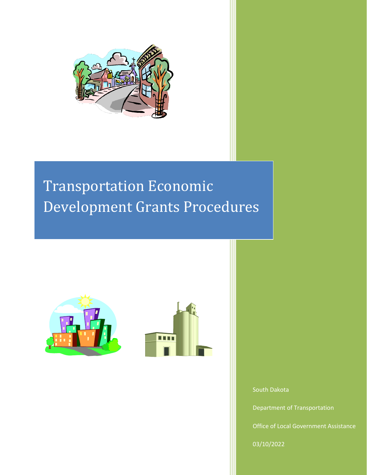

# Transportation Economic Development Grants Procedures





South Dakota

Department of Transportation

Office of Local Government Assistance

03/10/2022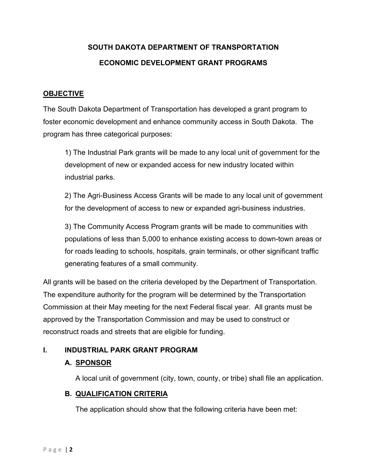## **SOUTH DAKOTA DEPARTMENT OF TRANSPORTATION ECONOMIC DEVELOPMENT GRANT PROGRAMS**

## **OBJECTIVE**

The South Dakota Department of Transportation has developed a grant program to foster economic development and enhance community access in South Dakota. The program has three categorical purposes:

1) The Industrial Park grants will be made to any local unit of government for the development of new or expanded access for new industry located within industrial parks.

2) The Agri-Business Access Grants will be made to any local unit of government for the development of access to new or expanded agri-business industries.

3) The Community Access Program grants will be made to communities with populations of less than 5,000 to enhance existing access to down-town areas or for roads leading to schools, hospitals, grain terminals, or other significant traffic generating features of a small community.

All grants will be based on the criteria developed by the Department of Transportation. The expenditure authority for the program will be determined by the Transportation Commission at their May meeting for the next Federal fiscal year. All grants must be approved by the Transportation Commission and may be used to construct or reconstruct roads and streets that are eligible for funding.

## **I. INDUSTRIAL PARK GRANT PROGRAM**

### **A. SPONSOR**

A local unit of government (city, town, county, or tribe) shall file an application.

### **B. QUALIFICATION CRITERIA**

The application should show that the following criteria have been met: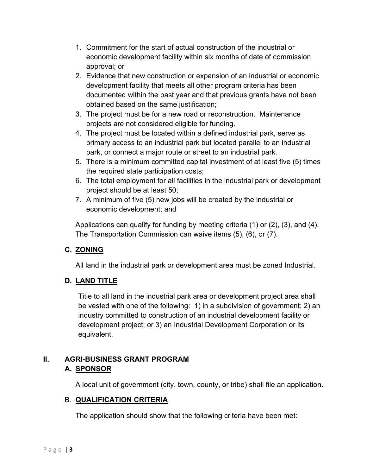- 1. Commitment for the start of actual construction of the industrial or economic development facility within six months of date of commission approval; or
- 2. Evidence that new construction or expansion of an industrial or economic development facility that meets all other program criteria has been documented within the past year and that previous grants have not been obtained based on the same justification;
- 3. The project must be for a new road or reconstruction. Maintenance projects are not considered eligible for funding.
- 4. The project must be located within a defined industrial park, serve as primary access to an industrial park but located parallel to an industrial park, or connect a major route or street to an industrial park.
- 5. There is a minimum committed capital investment of at least five (5) times the required state participation costs;
- 6. The total employment for all facilities in the industrial park or development project should be at least 50;
- 7. A minimum of five (5) new jobs will be created by the industrial or economic development; and

Applications can qualify for funding by meeting criteria (1) or (2), (3), and (4). The Transportation Commission can waive items (5), (6), or (7).

## **C. ZONING**

All land in the industrial park or development area must be zoned Industrial.

## **D. LAND TITLE**

Title to all land in the industrial park area or development project area shall be vested with one of the following: 1) in a subdivision of government; 2) an industry committed to construction of an industrial development facility or development project; or 3) an Industrial Development Corporation or its equivalent.

## **II. AGRI-BUSINESS GRANT PROGRAM A. SPONSOR**

A local unit of government (city, town, county, or tribe) shall file an application.

## B. **QUALIFICATION CRITERIA**

The application should show that the following criteria have been met: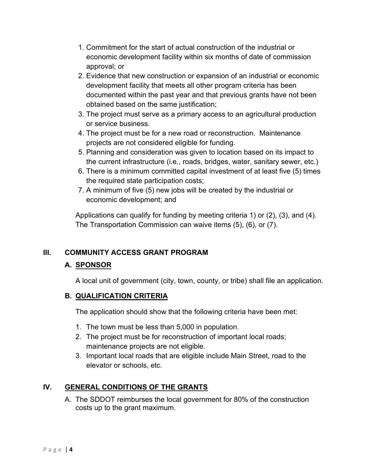- 1. Commitment for the start of actual construction of the industrial or economic development facility within six months of date of commission approval; or
- 2. Evidence that new construction or expansion of an industrial or economic development facility that meets all other program criteria has been documented within the past year and that previous grants have not been obtained based on the same justification;
- 3. The project must serve as a primary access to an agricultural production or service business.
- 4. The project must be for a new road or reconstruction. Maintenance projects are not considered eligible for funding.
- 5. Planning and consideration was given to location based on its impact to the current infrastructure (i.e., roads, bridges, water, sanitary sewer, etc.)
- 6. There is a minimum committed capital investment of at least five (5) times the required state participation costs;
- 7. A minimum of five (5) new jobs will be created by the industrial or economic development; and

Applications can qualify for funding by meeting criteria 1) or (2), (3), and (4). The Transportation Commission can waive items (5), (6), or (7).

## **III. COMMUNITY ACCESS GRANT PROGRAM**

## **A. SPONSOR**

A local unit of government (city, town, county, or tribe) shall file an application.

## **B. QUALIFICATION CRITERIA**

The application should show that the following criteria have been met:

- 1. The town must be less than 5,000 in population.
- 2. The project must be for reconstruction of important local roads; maintenance projects are not eligible.
- 3. Important local roads that are eligible include Main Street, road to the elevator or schools, etc.

## **IV. GENERAL CONDITIONS OF THE GRANTS**

A. The SDDOT reimburses the local government for 80% of the construction costs up to the grant maximum.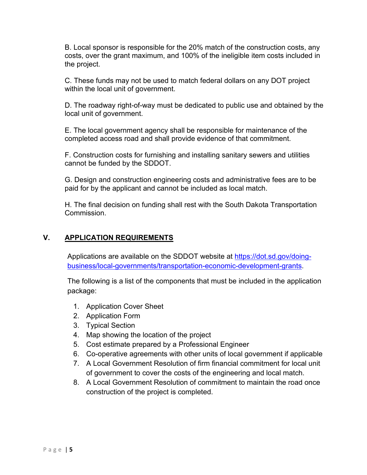B. Local sponsor is responsible for the 20% match of the construction costs, any costs, over the grant maximum, and 100% of the ineligible item costs included in the project.

C. These funds may not be used to match federal dollars on any DOT project within the local unit of government.

D. The roadway right-of-way must be dedicated to public use and obtained by the local unit of government.

E. The local government agency shall be responsible for maintenance of the completed access road and shall provide evidence of that commitment.

F. Construction costs for furnishing and installing sanitary sewers and utilities cannot be funded by the SDDOT.

G. Design and construction engineering costs and administrative fees are to be paid for by the applicant and cannot be included as local match.

H. The final decision on funding shall rest with the South Dakota Transportation Commission.

### **V. APPLICATION REQUIREMENTS**

Applications are available on the SDDOT website at [https://dot.sd.gov/doing](https://dot.sd.gov/doing-business/local-governments/transportation-economic-development-grants)[business/local-governments/transportation-economic-development-grants.](https://dot.sd.gov/doing-business/local-governments/transportation-economic-development-grants)

The following is a list of the components that must be included in the application package:

- 1. Application Cover Sheet
- 2. Application Form
- 3. Typical Section
- 4. Map showing the location of the project
- 5. Cost estimate prepared by a Professional Engineer
- 6. Co-operative agreements with other units of local government if applicable
- 7. A Local Government Resolution of firm financial commitment for local unit of government to cover the costs of the engineering and local match.
- 8. A Local Government Resolution of commitment to maintain the road once construction of the project is completed.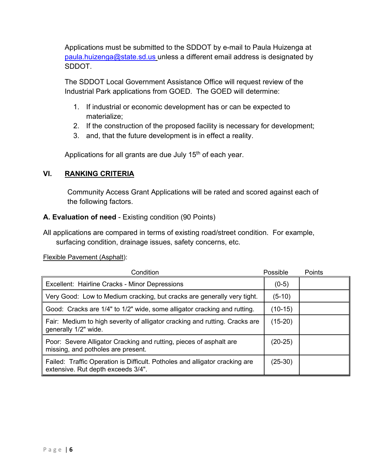Applications must be submitted to the SDDOT by e-mail to Paula Huizenga at [paula.huizenga@state.sd.us](mailto:paula.huizenga@state.sd.us) unless a different email address is designated by SDDOT.

The SDDOT Local Government Assistance Office will request review of the Industrial Park applications from GOED. The GOED will determine:

- 1. If industrial or economic development has or can be expected to materialize;
- 2. If the construction of the proposed facility is necessary for development;
- 3. and, that the future development is in effect a reality.

Applications for all grants are due July  $15<sup>th</sup>$  of each year.

### **VI. RANKING CRITERIA**

Community Access Grant Applications will be rated and scored against each of the following factors.

### **A. Evaluation of need** - Existing condition (90 Points)

All applications are compared in terms of existing road/street condition. For example, surfacing condition, drainage issues, safety concerns, etc.

Flexible Pavement (Asphalt):

| Condition                                                                                                         | Possible  | Points |
|-------------------------------------------------------------------------------------------------------------------|-----------|--------|
| Excellent: Hairline Cracks - Minor Depressions                                                                    | $(0-5)$   |        |
| Very Good: Low to Medium cracking, but cracks are generally very tight.                                           | (5-10)    |        |
| Good: Cracks are 1/4" to 1/2" wide, some alligator cracking and rutting.                                          | (10-15)   |        |
| Fair: Medium to high severity of alligator cracking and rutting. Cracks are<br>generally 1/2" wide.               | $(15-20)$ |        |
| Poor: Severe Alligator Cracking and rutting, pieces of asphalt are<br>missing, and potholes are present.          | $(20-25)$ |        |
| Failed: Traffic Operation is Difficult. Potholes and alligator cracking are<br>extensive. Rut depth exceeds 3/4". | $(25-30)$ |        |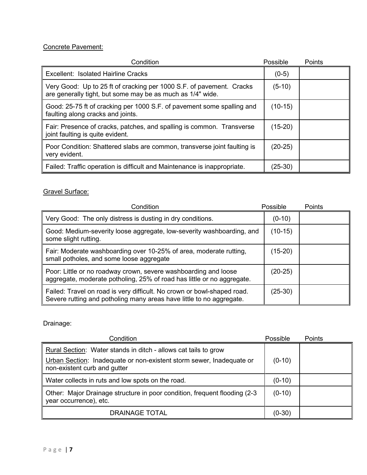#### Concrete Pavement:

| Condition                                                                                                                          | Possible  | <b>Points</b> |
|------------------------------------------------------------------------------------------------------------------------------------|-----------|---------------|
| Excellent: Isolated Hairline Cracks                                                                                                | $(0-5)$   |               |
| Very Good: Up to 25 ft of cracking per 1000 S.F. of pavement. Cracks<br>are generally tight, but some may be as much as 1/4" wide. | $(5-10)$  |               |
| Good: 25-75 ft of cracking per 1000 S.F. of pavement some spalling and<br>faulting along cracks and joints.                        | $(10-15)$ |               |
| Fair: Presence of cracks, patches, and spalling is common. Transverse<br>joint faulting is quite evident.                          | $(15-20)$ |               |
| Poor Condition: Shattered slabs are common, transverse joint faulting is<br>very evident.                                          | $(20-25)$ |               |
| Failed: Traffic operation is difficult and Maintenance is inappropriate.                                                           | (25-30)   |               |

#### Gravel Surface:

| Condition                                                                                                                                       | Possible  | Points |
|-------------------------------------------------------------------------------------------------------------------------------------------------|-----------|--------|
| Very Good: The only distress is dusting in dry conditions.                                                                                      | $(0-10)$  |        |
| Good: Medium-severity loose aggregate, low-severity washboarding, and<br>some slight rutting.                                                   | $(10-15)$ |        |
| Fair: Moderate washboarding over 10-25% of area, moderate rutting,<br>small potholes, and some loose aggregate                                  | $(15-20)$ |        |
| Poor: Little or no roadway crown, severe washboarding and loose<br>aggregate, moderate potholing, 25% of road has little or no aggregate.       | (20-25)   |        |
| Failed: Travel on road is very difficult. No crown or bowl-shaped road.<br>Severe rutting and potholing many areas have little to no aggregate. | (25-30)   |        |

Drainage:

| Condition                                                                                                                                                               | Possible | <b>Points</b> |
|-------------------------------------------------------------------------------------------------------------------------------------------------------------------------|----------|---------------|
| Rural Section: Water stands in ditch - allows cat tails to grow<br>Urban Section: Inadequate or non-existent storm sewer, Inadequate or<br>non-existent curb and gutter | $(0-10)$ |               |
| Water collects in ruts and low spots on the road.                                                                                                                       | $(0-10)$ |               |
| Other: Major Drainage structure in poor condition, frequent flooding (2-3)<br>year occurrence), etc.                                                                    |          |               |
| <b>DRAINAGE TOTAL</b>                                                                                                                                                   | $(0-30)$ |               |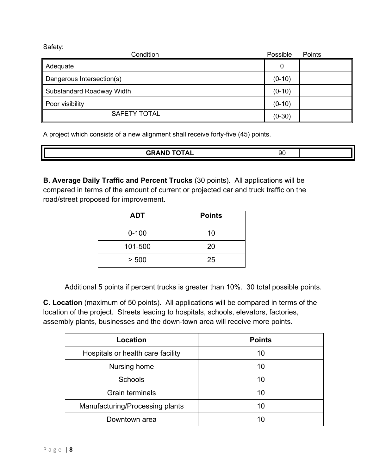Safety:

| Condition                 | Possible | Points |
|---------------------------|----------|--------|
| Adequate                  |          |        |
| Dangerous Intersection(s) | $(0-10)$ |        |
| Substandard Roadway Width | $(0-10)$ |        |
| Poor visibility           | $(0-10)$ |        |
| <b>SAFETY TOTAL</b>       | $(0-30)$ |        |

A project which consists of a new alignment shall receive forty-five (45) points.

|  | COAND TOTAL<br>$\overline{\phantom{a}}$<br>. . | ונ<br>- 1 |  |
|--|------------------------------------------------|-----------|--|
|  |                                                |           |  |

**B. Average Daily Traffic and Percent Trucks** (30 points). All applications will be compared in terms of the amount of current or projected car and truck traffic on the road/street proposed for improvement.

| <b>ADT</b> | <b>Points</b> |
|------------|---------------|
| $0 - 100$  | 10            |
| 101-500    | 20            |
| > 500      | 25            |

Additional 5 points if percent trucks is greater than 10%. 30 total possible points.

**C. Location** (maximum of 50 points). All applications will be compared in terms of the location of the project. Streets leading to hospitals, schools, elevators, factories, assembly plants, businesses and the down-town area will receive more points.

| Location                          | <b>Points</b> |
|-----------------------------------|---------------|
| Hospitals or health care facility | 10            |
| Nursing home                      | 10            |
| <b>Schools</b>                    | 10            |
| <b>Grain terminals</b>            | 10            |
| Manufacturing/Processing plants   | 10            |
| Downtown area                     | 10            |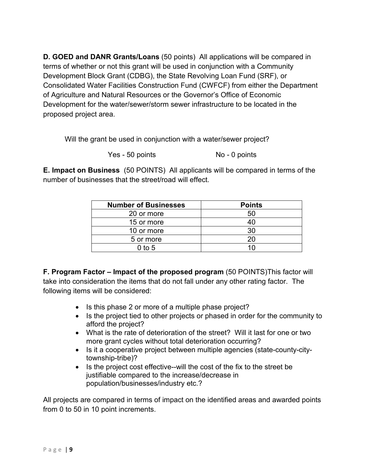**D. GOED and DANR Grants/Loans** (50 points) All applications will be compared in terms of whether or not this grant will be used in conjunction with a Community Development Block Grant (CDBG), the State Revolving Loan Fund (SRF), or Consolidated Water Facilities Construction Fund (CWFCF) from either the Department of Agriculture and Natural Resources or the Governor's Office of Economic Development for the water/sewer/storm sewer infrastructure to be located in the proposed project area.

Will the grant be used in conjunction with a water/sewer project?

Yes - 50 points No - 0 points

**E. Impact on Business** (50 POINTS) All applicants will be compared in terms of the number of businesses that the street/road will effect.

| <b>Number of Businesses</b> | <b>Points</b> |
|-----------------------------|---------------|
| 20 or more                  | 50            |
| 15 or more                  | 40            |
| 10 or more                  | 30            |
| 5 or more                   | 20            |
| $0$ to 5                    | 10            |

**F. Program Factor – Impact of the proposed program** (50 POINTS)This factor will take into consideration the items that do not fall under any other rating factor. The following items will be considered:

- Is this phase 2 or more of a multiple phase project?
- Is the project tied to other projects or phased in order for the community to afford the project?
- What is the rate of deterioration of the street? Will it last for one or two more grant cycles without total deterioration occurring?
- Is it a cooperative project between multiple agencies (state-county-citytownship-tribe)?
- Is the project cost effective--will the cost of the fix to the street be justifiable compared to the increase/decrease in population/businesses/industry etc.?

All projects are compared in terms of impact on the identified areas and awarded points from 0 to 50 in 10 point increments.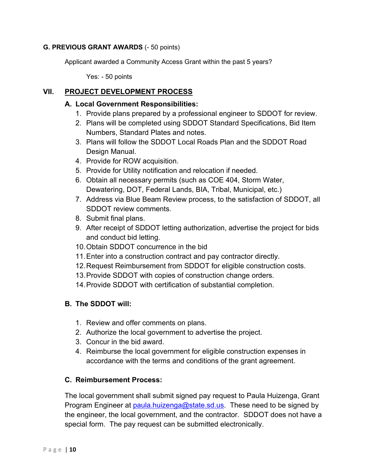#### **G. PREVIOUS GRANT AWARDS** (- 50 points)

Applicant awarded a Community Access Grant within the past 5 years?

Yes: - 50 points

## **VII. PROJECT DEVELOPMENT PROCESS**

#### **A. Local Government Responsibilities:**

- 1. Provide plans prepared by a professional engineer to SDDOT for review.
- 2. Plans will be completed using SDDOT Standard Specifications, Bid Item Numbers, Standard Plates and notes.
- 3. Plans will follow the SDDOT Local Roads Plan and the SDDOT Road Design Manual.
- 4. Provide for ROW acquisition.
- 5. Provide for Utility notification and relocation if needed.
- 6. Obtain all necessary permits (such as COE 404, Storm Water, Dewatering, DOT, Federal Lands, BIA, Tribal, Municipal, etc.)
- 7. Address via Blue Beam Review process, to the satisfaction of SDDOT, all SDDOT review comments.
- 8. Submit final plans.
- 9. After receipt of SDDOT letting authorization, advertise the project for bids and conduct bid letting.
- 10.Obtain SDDOT concurrence in the bid
- 11.Enter into a construction contract and pay contractor directly.
- 12.Request Reimbursement from SDDOT for eligible construction costs.
- 13.Provide SDDOT with copies of construction change orders.
- 14.Provide SDDOT with certification of substantial completion.

### **B. The SDDOT will:**

- 1. Review and offer comments on plans.
- 2. Authorize the local government to advertise the project.
- 3. Concur in the bid award.
- 4. Reimburse the local government for eligible construction expenses in accordance with the terms and conditions of the grant agreement.

### **C. Reimbursement Process:**

The local government shall submit signed pay request to Paula Huizenga, Grant Program Engineer at [paula.huizenga@state.sd.us.](mailto:paula.huizenga@state.sd.us) These need to be signed by the engineer, the local government, and the contractor. SDDOT does not have a special form. The pay request can be submitted electronically.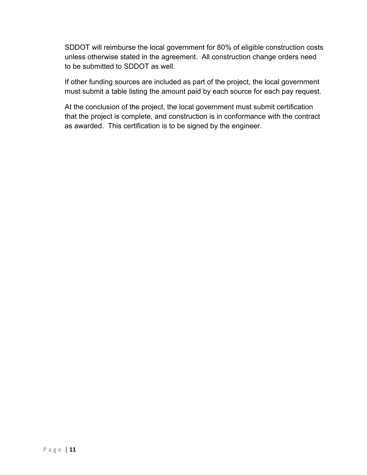SDDOT will reimburse the local government for 80% of eligible construction costs unless otherwise stated in the agreement. All construction change orders need to be submitted to SDDOT as well.

If other funding sources are included as part of the project, the local government must submit a table listing the amount paid by each source for each pay request.

At the conclusion of the project, the local government must submit certification that the project is complete, and construction is in conformance with the contract as awarded. This certification is to be signed by the engineer.